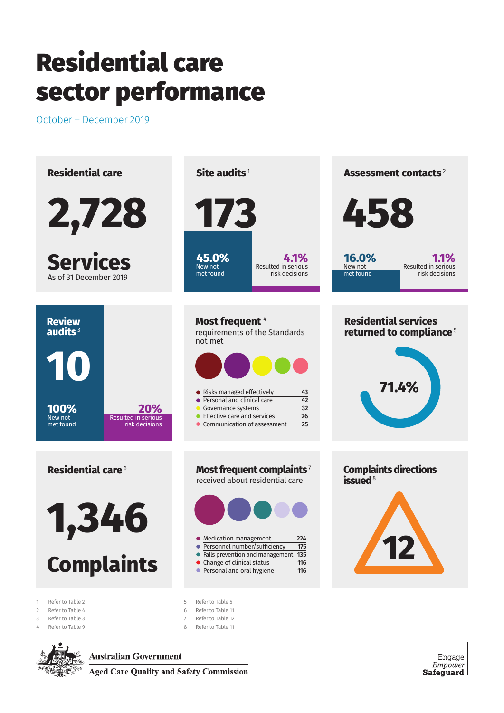October – December 2019





**Australian Government** 

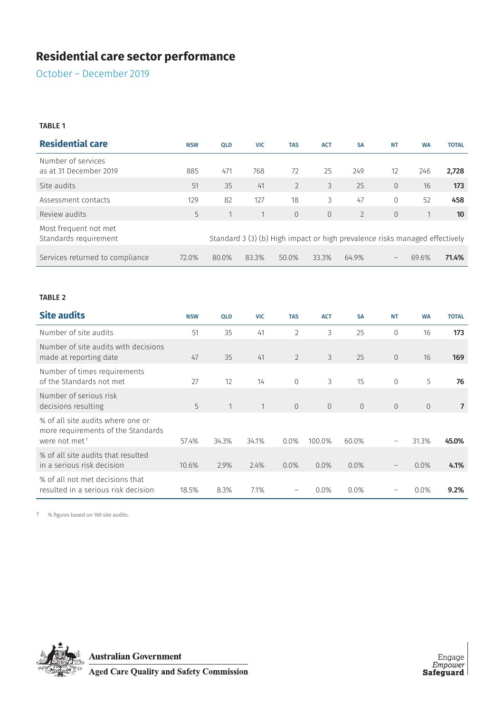October – December 2019

#### TABLE 1

| <b>Residential care</b>                        | <b>NSW</b> | <b>OLD</b> | <b>VIC</b>   | <b>TAS</b>                                                                  | <b>ACT</b>     | <b>SA</b>      | <b>NT</b>                | <b>WA</b> | <b>TOTAL</b> |
|------------------------------------------------|------------|------------|--------------|-----------------------------------------------------------------------------|----------------|----------------|--------------------------|-----------|--------------|
| Number of services<br>as at 31 December 2019   | 885        | 471        | 768          | 72                                                                          | 25             | 249            | 12                       | 246       | 2,728        |
| Site audits                                    | 51         | 35         | 41           | $\overline{2}$                                                              | 3              | 25             | $\overline{0}$           | 16        | 173          |
| Assessment contacts                            | 129        | 82         | 127          | 18                                                                          | 3              | 47             | $\mathbf{0}$             | 52        | 458          |
| Review audits                                  | 5          |            | $\mathbf{1}$ | $\Omega$                                                                    | $\overline{0}$ | $\overline{2}$ | $\overline{0}$           |           | 10           |
| Most frequent not met<br>Standards requirement |            |            |              | Standard 3 (3) (b) High impact or high prevalence risks managed effectively |                |                |                          |           |              |
| Services returned to compliance                | 72.0%      | 80.0%      | 83.3%        | 50.0%                                                                       | 33.3%          | 64.9%          | $\overline{\phantom{m}}$ | 69.6%     | 71.4%        |

#### TABLE 2

| <b>Site audits</b>                                                                                   | <b>NSW</b> | <b>QLD</b> | <b>VIC</b>   | <b>TAS</b>     | <b>ACT</b> | <b>SA</b>      | <b>NT</b>                      | <b>WA</b>      | <b>TOTAL</b>   |
|------------------------------------------------------------------------------------------------------|------------|------------|--------------|----------------|------------|----------------|--------------------------------|----------------|----------------|
| Number of site audits                                                                                | 51         | 35         | 41           | $\overline{2}$ | 3          | 25             | 0                              | 16             | 173            |
| Number of site audits with decisions<br>made at reporting date                                       | 47         | 35         | 41           | 2              | 3          | 25             | $\overline{0}$                 | 16             | 169            |
| Number of times requirements<br>of the Standards not met                                             | 27         | 12         | 14           | $\Omega$       | 3          | 15             | $\overline{0}$                 | 5              | 76             |
| Number of serious risk<br>decisions resulting                                                        | 5          | 1          | $\mathbf{1}$ | $\overline{0}$ | $\Omega$   | $\overline{0}$ | $\overline{0}$                 | $\overline{0}$ | $\overline{7}$ |
| % of all site audits where one or<br>more requirements of the Standards<br>were not met <sup>+</sup> | 57.4%      | 34.3%      | 34.1%        | 0.0%           | 100.0%     | 60.0%          | $\qquad \qquad \longleftarrow$ | 31.3%          | 45.0%          |
| % of all site audits that resulted<br>in a serious risk decision                                     | 10.6%      | 2.9%       | 2.4%         | $0.0\%$        | $0.0\%$    | 0.0%           | $\qquad \qquad -$              | $0.0\%$        | 4.1%           |
| % of all not met decisions that<br>resulted in a serious risk decision                               | 18.5%      | 8.3%       | 7.1%         |                | $0.0\%$    | 0.0%           |                                | 0.0%           | 9.2%           |

† % figures based on 169 site audits.



**Australian Government**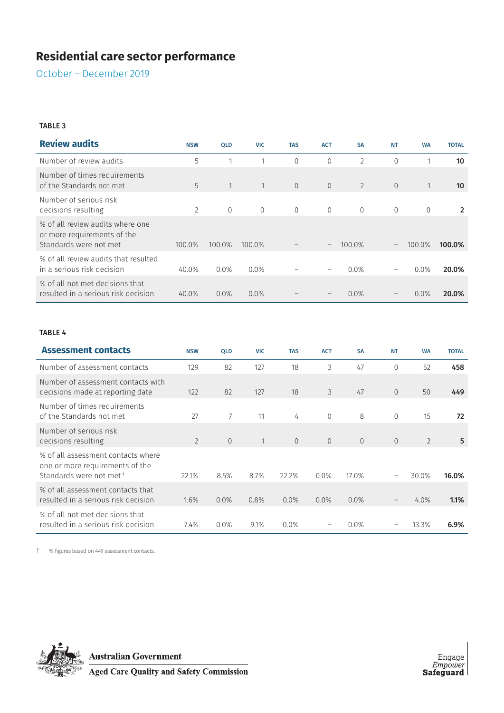October – December 2019

#### TABLE 3

| <b>Review audits</b>                                                                      | <b>NSW</b>     | <b>QLD</b> | <b>VIC</b>   | <b>TAS</b> | <b>ACT</b>               | <b>SA</b>      | <b>NT</b>                | <b>WA</b>    | <b>TOTAL</b>    |
|-------------------------------------------------------------------------------------------|----------------|------------|--------------|------------|--------------------------|----------------|--------------------------|--------------|-----------------|
| Number of review audits                                                                   | 5              |            |              | $\Omega$   | $\Omega$                 | $\overline{2}$ | $\Omega$                 |              | 10              |
| Number of times requirements<br>of the Standards not met                                  | 5              | 1          | $\mathbf{1}$ | $\Omega$   | $\overline{0}$           | $\overline{2}$ | $\overline{0}$           | $\mathbf{1}$ | 10 <sup>°</sup> |
| Number of serious risk<br>decisions resulting                                             | $\overline{2}$ | $\Omega$   | $\Omega$     | $\Omega$   | $\Omega$                 | $\Omega$       | $\Omega$                 | $\Omega$     | 2               |
| % of all review audits where one<br>or more requirements of the<br>Standards were not met | 100.0%         | 100.0%     | 100.0%       |            | $\overline{\phantom{m}}$ | 100.0%         | $\overline{\phantom{m}}$ | 100.0%       | 100.0%          |
| % of all review audits that resulted<br>in a serious risk decision                        | 40.0%          | $0.0\%$    | $0.0\%$      |            |                          | $0.0\%$        | -                        | $0.0\%$      | 20.0%           |
| % of all not met decisions that<br>resulted in a serious risk decision                    | 40.0%          | 0.0%       | $0.0\%$      |            |                          | 0.0%           | $\qquad \qquad -$        | 0.0%         | 20.0%           |

#### TABLE 4

| <b>Assessment contacts</b>                                                                        | <b>NSW</b>     | <b>QLD</b> | <b>VIC</b>   | <b>TAS</b> | <b>ACT</b> | <b>SA</b> | <b>NT</b>         | <b>WA</b>      | <b>TOTAL</b> |
|---------------------------------------------------------------------------------------------------|----------------|------------|--------------|------------|------------|-----------|-------------------|----------------|--------------|
| Number of assessment contacts                                                                     | 129            | 82         | 127          | 18         | 3          | 47        | $\overline{0}$    | 52             | 458          |
| Number of assessment contacts with<br>decisions made at reporting date                            | 122            | 82         | 127          | 18         | 3          | 47        | $\overline{0}$    | 50             | 449          |
| Number of times requirements<br>of the Standards not met                                          | 27             | 7          | 11           | 4          | $\Omega$   | 8         | $\overline{0}$    | 15             | 72           |
| Number of serious risk<br>decisions resulting                                                     | $\overline{2}$ | $\Omega$   | $\mathbf{1}$ | $\Omega$   | $\Omega$   | $\Omega$  | $\Omega$          | $\overline{2}$ | 5            |
| % of all assessment contacts where<br>one or more requirements of the<br>Standards were not met t | 22.1%          | 8.5%       | 8.7%         | 22.2%      | $0.0\%$    | 17.0%     |                   | 30.0%          | 16.0%        |
| % of all assessment contacts that<br>resulted in a serious risk decision                          | 1.6%           | 0.0%       | 0.8%         | 0.0%       | $0.0\%$    | $0.0\%$   | $\qquad \qquad -$ | 4.0%           | 1.1%         |
| % of all not met decisions that<br>resulted in a serious risk decision                            | 7.4%           | 0.0%       | 9.1%         | $0.0\%$    |            | $0.0\%$   |                   | 13.3%          | 6.9%         |

† % figures based on 449 assessment contacts.



**Australian Government**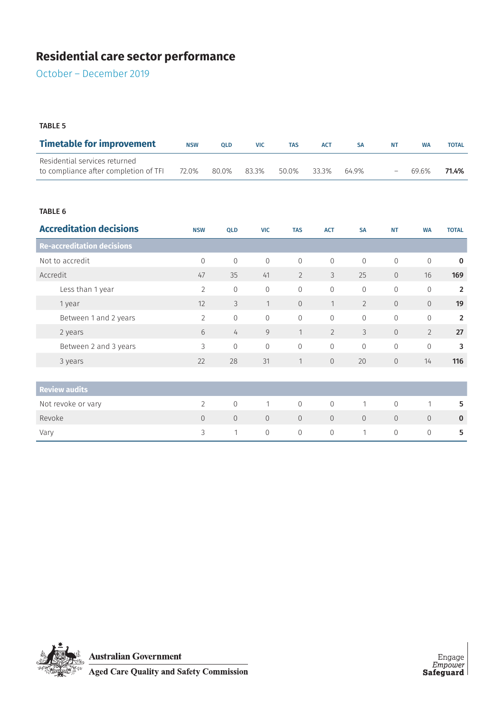October – December 2019

#### TABLE 5

| <b>Timetable for improvement</b>                                       | <b>NSW</b> | <b>OLD</b> | <b>VIC</b> | <b>TAS</b> | <b>ACT</b> |       | NΤ                | <b>WA</b> | <b>TOTAL</b> |
|------------------------------------------------------------------------|------------|------------|------------|------------|------------|-------|-------------------|-----------|--------------|
| Residential services returned<br>to compliance after completion of TFI | 72.0%      | 80.0%      | 83.3%      | 50.0%      | 33.3%      | 64 ዓ% | $\qquad \qquad -$ | 69.6%     | 71.4%        |

#### TABLE 6

| <b>Accreditation decisions</b>    | <b>NSW</b>     | <b>QLD</b>     | <b>VIC</b>     | <b>TAS</b>     | <b>ACT</b>     | <b>SA</b>      | <b>NT</b>      | <b>WA</b>      | <b>TOTAL</b>   |
|-----------------------------------|----------------|----------------|----------------|----------------|----------------|----------------|----------------|----------------|----------------|
| <b>Re-accreditation decisions</b> |                |                |                |                |                |                |                |                |                |
| Not to accredit                   | $\mathbf{0}$   | $\mathbf{0}$   | $\mathbf 0$    | $\overline{0}$ | $\overline{0}$ | $\Omega$       | $\mathbf{0}$   | $\mathbf 0$    | $\mathbf 0$    |
| Accredit                          | 47             | 35             | 41             | $\overline{2}$ | 3              | 25             | $\overline{0}$ | 16             | 169            |
| Less than 1 year                  | $\overline{2}$ | $\mathbf 0$    | 0              | $\mathbf{0}$   | $\mathbf{0}$   | $\mathbf{0}$   | $\mathbf{0}$   | 0              | $\overline{2}$ |
| 1 year                            | 12             | 3              | $\mathbf{1}$   | $\overline{0}$ | $\mathbf{1}$   | $\overline{2}$ | $\overline{0}$ | $\overline{0}$ | 19             |
| Between 1 and 2 years             | $\overline{2}$ | $\mathbf 0$    | $\overline{0}$ | $\mathbf 0$    | $\mathbf 0$    | $\overline{0}$ | $\mathbf{0}$   | 0              | $\overline{2}$ |
| 2 years                           | 6              | $\overline{4}$ | 9              | $\mathbf{1}$   | $\overline{2}$ | $\mathcal{S}$  | $\overline{0}$ | $\overline{2}$ | 27             |
| Between 2 and 3 years             | 3              | $\overline{0}$ | $\overline{0}$ | $\Omega$       | $\Omega$       | $\Omega$       | $\Omega$       | 0              | 3              |
| 3 years                           | 22             | 28             | 31             | $\mathbf{1}$   | $\overline{0}$ | 20             | $\mathbf{0}$   | 14             | 116            |
|                                   |                |                |                |                |                |                |                |                |                |
| <b>Review audits</b>              |                |                |                |                |                |                |                |                |                |
| Not revoke or vary                | $\overline{2}$ | $\overline{0}$ | $\mathbf{1}$   | $\overline{0}$ | $\overline{0}$ | 1              | $\overline{0}$ | $\overline{1}$ | 5              |
| Revoke                            | $\overline{0}$ | $\overline{0}$ | $\overline{0}$ | $\overline{0}$ | $\overline{0}$ | $\overline{0}$ | $\Omega$       | $\overline{0}$ | $\bf{0}$       |
| Vary                              | 3              | 1              | $\mathbf 0$    | $\overline{0}$ | $\overline{0}$ | 1              | $\overline{0}$ | 0              | 5              |

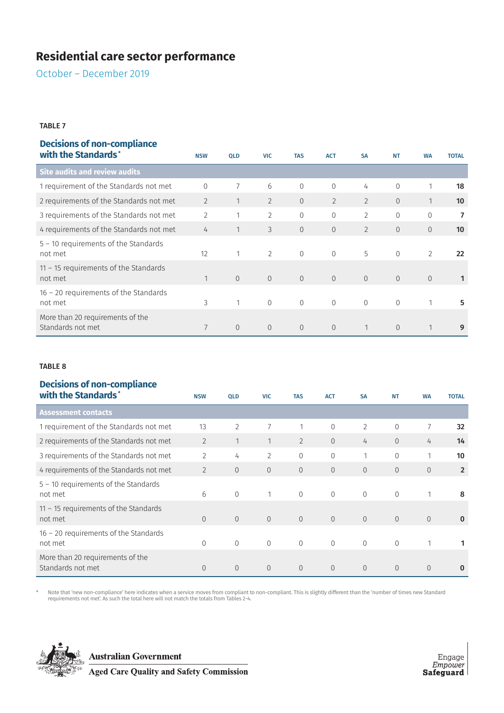October – December 2019

#### TABLE 7

## **Decisions of non-compliance**

| with the Standards*                                   | <b>NSW</b>     | <b>QLD</b>     | <b>VIC</b>     | <b>TAS</b>     | <b>ACT</b>     | <b>SA</b>      | <b>NT</b>      | <b>WA</b>      | <b>TOTAL</b>      |
|-------------------------------------------------------|----------------|----------------|----------------|----------------|----------------|----------------|----------------|----------------|-------------------|
| <b>Site audits and review audits</b>                  |                |                |                |                |                |                |                |                |                   |
| 1 requirement of the Standards not met                | 0              | $\overline{7}$ | 6              | $\mathbf{0}$   | $\mathbf{0}$   | 4              | $\mathbf{0}$   | 1              | 18                |
| 2 requirements of the Standards not met               | $\overline{2}$ |                | $\overline{2}$ | $\overline{0}$ | $\overline{2}$ | $\overline{2}$ | $\overline{0}$ | $\mathbf{1}$   | 10                |
| 3 requirements of the Standards not met               | $\overline{2}$ | 1              | $\overline{2}$ | $\Omega$       | $\mathbf{0}$   | $\overline{2}$ | $\overline{0}$ | $\mathbf 0$    | 7                 |
| 4 requirements of the Standards not met               | 4              |                | 3              | $\overline{0}$ | $\overline{0}$ | $\overline{2}$ | $\overline{0}$ | $\overline{0}$ | 10                |
| $5 - 10$ requirements of the Standards<br>not met     | 12             |                | 2              | $\Omega$       | $\overline{0}$ | 5              | $\overline{0}$ | $\overline{2}$ | $22 \overline{ }$ |
| $11 - 15$ requirements of the Standards<br>not met    | 1              | $\overline{0}$ | $\overline{0}$ | $\Omega$       | $\Omega$       | $\Omega$       | $\overline{0}$ | $\overline{0}$ |                   |
| $16 - 20$ requirements of the Standards<br>not met    | 3              |                | $\mathbf{0}$   | $\Omega$       | $\Omega$       | $\Omega$       | $\overline{0}$ | 1              | 5                 |
| More than 20 requirements of the<br>Standards not met | 7              | $\overline{0}$ | $\overline{0}$ | $\Omega$       | $\Omega$       | 1              | $\overline{0}$ | 1              | 9                 |

#### TABLE 8

## **Decisions of non-compliance**

| with the Standards*                                   | <b>NSW</b>     | <b>QLD</b>     | <b>VIC</b>     | <b>TAS</b>     | <b>ACT</b>     | <b>SA</b>      | <b>NT</b>      | <b>WA</b>      | <b>TOTAL</b>   |
|-------------------------------------------------------|----------------|----------------|----------------|----------------|----------------|----------------|----------------|----------------|----------------|
| <b>Assessment contacts</b>                            |                |                |                |                |                |                |                |                |                |
| 1 requirement of the Standards not met                | 13             | $\overline{2}$ | 7              |                | $\overline{0}$ | 2              | $\mathbf{0}$   | 7              | 32             |
| 2 requirements of the Standards not met               | $\overline{2}$ | 1              | $\mathbf{1}$   | $\overline{2}$ | $\Omega$       | 4              | $\Omega$       | 4              | 14             |
| 3 requirements of the Standards not met               | $\mathcal{L}$  | 4              | $\overline{2}$ | $\Omega$       | $\Omega$       | 1              | $\overline{0}$ | 1              | 10             |
| 4 requirements of the Standards not met               | $\overline{2}$ | $\overline{0}$ | $\overline{0}$ | $\overline{0}$ | $\overline{0}$ | $\overline{0}$ | $\overline{0}$ | $\overline{0}$ | $\overline{2}$ |
| $5 - 10$ requirements of the Standards<br>not met     | 6              | $\mathbf{0}$   | 1              | $\Omega$       | $\Omega$       | $\Omega$       | $\mathbf{0}$   | $\mathbf{1}$   | 8              |
| $11 - 15$ requirements of the Standards<br>not met    | $\Omega$       | $\overline{0}$ | $\overline{0}$ | $\overline{0}$ | $\overline{0}$ | $\overline{0}$ | $\overline{0}$ | $\overline{0}$ | $\bf{0}$       |
| $16 - 20$ requirements of the Standards<br>not met    | $\Omega$       | $\mathbf{0}$   | $\overline{0}$ | $\Omega$       | $\Omega$       | $\mathbf{0}$   | $\overline{0}$ |                |                |
| More than 20 requirements of the<br>Standards not met | $\Omega$       | $\overline{0}$ | $\overline{0}$ | $\Omega$       | $\overline{0}$ | $\Omega$       | $\overline{0}$ | $\Omega$       | $\bf{0}$       |

Note that 'new non-compliance' here indicates when a service moves from compliant to non-compliant. This is slightly different than the 'number of times new Standard "<br>requirements not met'. As such the total here will not



**Australian Government**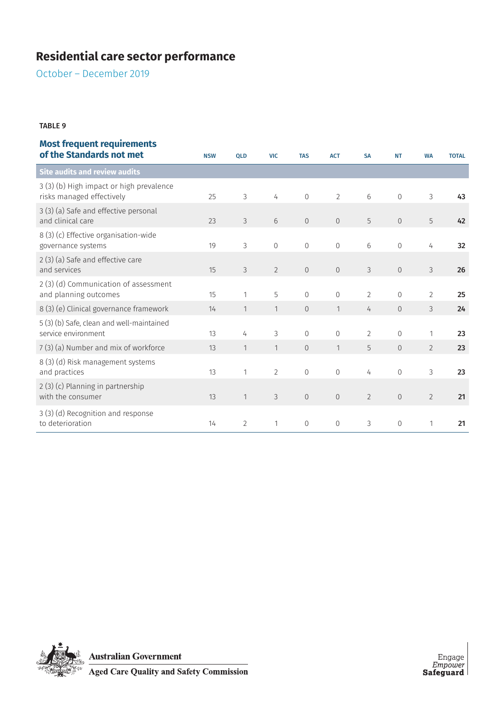October – December 2019

#### TABLE 9

# **Most frequent requirements**

| of the Standards not met                                              | <b>NSW</b> | QLD            | <b>VIC</b>     | <b>TAS</b>     | <b>ACT</b>     | <b>SA</b>      | <b>NT</b>      | <b>WA</b>      | <b>TOTAL</b> |
|-----------------------------------------------------------------------|------------|----------------|----------------|----------------|----------------|----------------|----------------|----------------|--------------|
| <b>Site audits and review audits</b>                                  |            |                |                |                |                |                |                |                |              |
| 3 (3) (b) High impact or high prevalence<br>risks managed effectively | 25         | 3              | 4              | $\mathbf{0}$   | $\overline{2}$ | 6              | $\Omega$       | 3              | 43           |
| 3 (3) (a) Safe and effective personal<br>and clinical care            | 23         | 3              | 6              | $\overline{0}$ | $\overline{0}$ | 5              | $\overline{0}$ | 5              | 42           |
| 8 (3) (c) Effective organisation-wide<br>governance systems           | 19         | 3              | $\overline{0}$ | $\mathbf 0$    | $\mathbf{0}$   | 6              | $\mathbf{0}$   | 4              | 32           |
| 2(3)(a) Safe and effective care<br>and services                       | 15         | 3              | $\overline{2}$ | $\overline{0}$ | $\overline{0}$ | 3              | $\overline{0}$ | 3              | 26           |
| 2(3)(d) Communication of assessment<br>and planning outcomes          | 15         | 1              | 5              | $\mathbf{0}$   | $\mathbf{0}$   | $\overline{2}$ | $\mathbf{0}$   | $\overline{2}$ | 25           |
| 8 (3) (e) Clinical governance framework                               | 14         | 1              | 1              | 0              | 1              | 4              | $\mathbf{0}$   | 3              | 24           |
| 5 (3) (b) Safe, clean and well-maintained<br>service environment      | 13         | 4              | 3              | $\Omega$       | $\mathbf{0}$   | $\overline{2}$ | $\mathbf{0}$   | 1              | 23           |
| 7(3) (a) Number and mix of workforce                                  | 13         | 1              | $\mathbf{1}$   | $\overline{0}$ | 1              | 5              | $\overline{0}$ | $\overline{2}$ | 23           |
| 8 (3) (d) Risk management systems<br>and practices                    | 13         | 1              | $\overline{2}$ | $\mathbf{0}$   | $\mathbf{0}$   | 4              | $\overline{0}$ | 3              | 23           |
| 2(3) (c) Planning in partnership<br>with the consumer                 | 13         | 1              | 3              | $\mathbf 0$    | $\mathbf{0}$   | $\overline{2}$ | $\mathbb O$    | $\overline{2}$ | 21           |
| 3 (3) (d) Recognition and response<br>to deterioration                | 14         | $\overline{2}$ | 1              | $\mathbf 0$    | $\mathbf{0}$   | 3              | $\Omega$       | 1              | 21           |

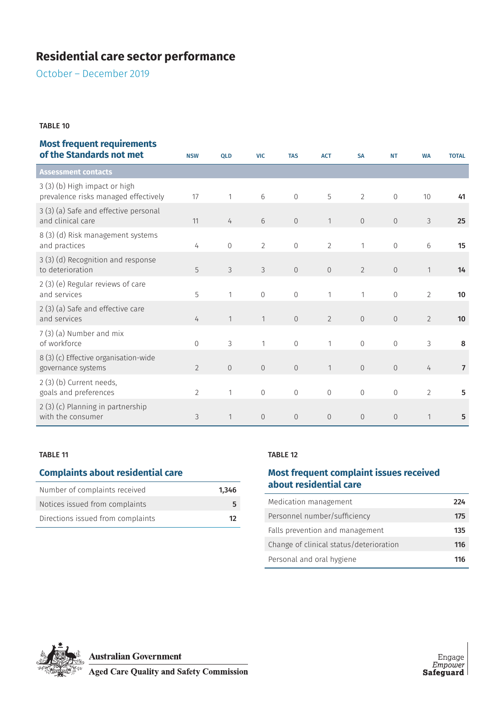October – December 2019

#### TABLE 10

| of the Standards not met                                              | <b>NSW</b>     | <b>QLD</b>     | <b>VIC</b>     | <b>TAS</b>     | <b>ACT</b>     | <b>SA</b>      | <b>NT</b>      | <b>WA</b>      | <b>TOTAL</b>   |
|-----------------------------------------------------------------------|----------------|----------------|----------------|----------------|----------------|----------------|----------------|----------------|----------------|
| <b>Assessment contacts</b>                                            |                |                |                |                |                |                |                |                |                |
| 3 (3) (b) High impact or high<br>prevalence risks managed effectively | 17             | 1              | 6              | $\Omega$       | 5              | $\overline{2}$ | $\Omega$       | 10             | 41             |
| 3 (3) (a) Safe and effective personal<br>and clinical care            | 11             | 4              | 6              | $\overline{0}$ | 1              | $\sqrt{0}$     | $\overline{0}$ | $\mathfrak{Z}$ | 25             |
| 8 (3) (d) Risk management systems<br>and practices                    | 4              | $\overline{0}$ | $\overline{2}$ | $\mathbf 0$    | $\overline{2}$ | 1              | $\mathbf{0}$   | $6\,$          | 15             |
| 3 (3) (d) Recognition and response<br>to deterioration                | 5              | 3              | 3              | $\overline{0}$ | $\overline{0}$ | $\overline{2}$ | $\overline{0}$ | 1              | 14             |
| 2 (3) (e) Regular reviews of care<br>and services                     | 5              | 1              | $\overline{0}$ | $\mathbf{0}$   | 1              | 1              | $\overline{0}$ | $\overline{2}$ | 10             |
| 2 (3) (a) Safe and effective care<br>and services                     | 4              | $\mathbf{1}$   | $\mathbf{1}$   | $\overline{0}$ | $\overline{2}$ | $\overline{0}$ | $\overline{0}$ | $\overline{2}$ | 10             |
| 7 (3) (a) Number and mix<br>of workforce                              | $\Omega$       | 3              | $\mathbf{1}$   | $\Omega$       | $\mathbf{1}$   | $\Omega$       | $\Omega$       | 3              | 8              |
| 8 (3) (c) Effective organisation-wide<br>governance systems           | $\overline{2}$ | $\overline{0}$ | $\overline{0}$ | $\overline{0}$ | $\mathbf{1}$   | $\overline{0}$ | $\overline{0}$ | 4              | $\overline{7}$ |
| 2(3)(b) Current needs,<br>goals and preferences                       | $\overline{2}$ | 1              | $\overline{0}$ | $\mathbf{0}$   | $\overline{0}$ | $\overline{0}$ | $\Omega$       | $\overline{2}$ | 5              |
| 2 (3) (c) Planning in partnership<br>with the consumer                | 3              | $\mathbf{1}$   | $\overline{0}$ | $\mathbf{0}$   | $\overline{0}$ | $\overline{0}$ | $\overline{0}$ | 1              | 5              |

#### TABLE 11

## **Complaints about residential care**

| Number of complaints received     | 1.346 |
|-----------------------------------|-------|
| Notices issued from complaints    |       |
| Directions issued from complaints | 12.   |

#### TABLE 12

## **Most frequent complaint issues received about residential care**

| Medication management                   | 224 |
|-----------------------------------------|-----|
| Personnel number/sufficiency            | 175 |
| Falls prevention and management         | 135 |
| Change of clinical status/deterioration | 116 |
| Personal and oral hygiene               | 116 |

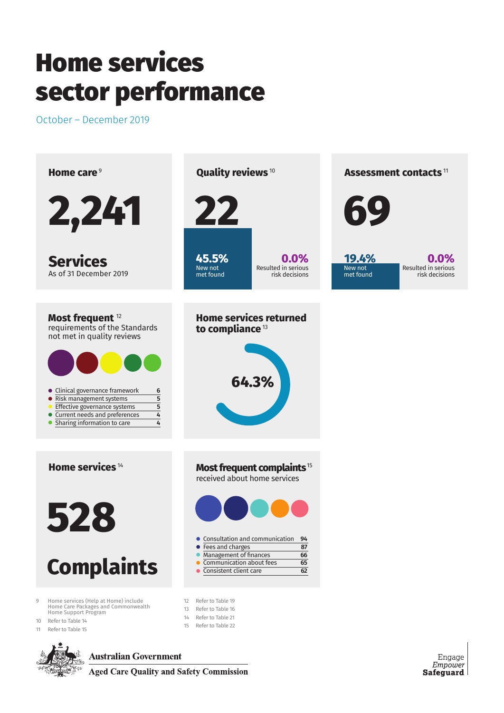October – December 2019



**Australian Government** 

**Aged Care Quality and Safety Commission** 

Engage Empower **Safeguard**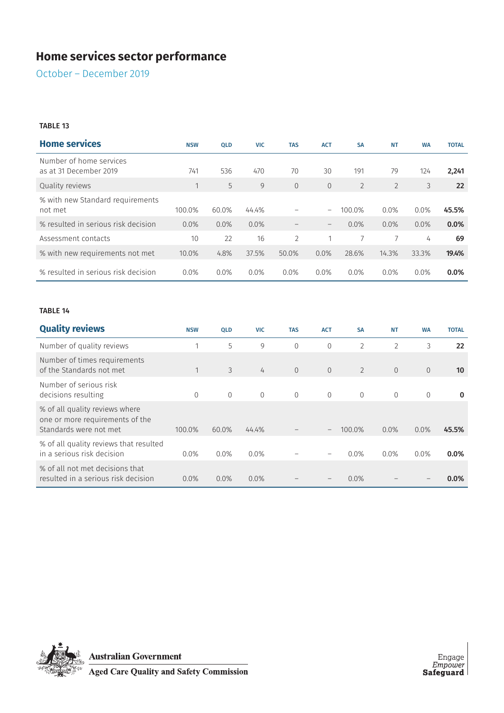October – December 2019

#### TABLE 13

| <b>Home services</b>                              | <b>NSW</b> | <b>QLD</b> | <b>VIC</b> | <b>TAS</b>     | <b>ACT</b>               | <b>SA</b>      | <b>NT</b>      | <b>WA</b> | <b>TOTAL</b> |
|---------------------------------------------------|------------|------------|------------|----------------|--------------------------|----------------|----------------|-----------|--------------|
| Number of home services<br>as at 31 December 2019 | 741        | 536        | 470        | 70             | 30                       | 191            | 79             | 124       | 2,241        |
| Quality reviews                                   |            | 5          | 9          | $\overline{0}$ | $\overline{0}$           | $\overline{2}$ | $\overline{2}$ | 3         | 22           |
| % with new Standard requirements<br>not met       | 100.0%     | 60.0%      | 44.4%      |                | $\overline{\phantom{m}}$ | 100.0%         | $0.0\%$        | 0.0%      | 45.5%        |
| % resulted in serious risk decision               | 0.0%       | $0.0\%$    | $0.0\%$    |                | $\!-$                    | $0.0\%$        | $0.0\%$        | $0.0\%$   | 0.0%         |
| Assessment contacts                               | 10         | 22         | 16         | $\overline{2}$ |                          |                |                | 4         | 69           |
| % with new requirements not met                   | 10.0%      | 4.8%       | 37.5%      | 50.0%          | $0.0\%$                  | 28.6%          | 14.3%          | 33.3%     | 19.4%        |
| % resulted in serious risk decision               | $0.0\%$    | $0.0\%$    | 0.0%       | 0.0%           | $0.0\%$                  | $0.0\%$        | $0.0\%$        | $0.0\%$   | $0.0\%$      |

#### TABLE 14

| <b>Quality reviews</b>                                                                      | <b>NSW</b> | <b>QLD</b> | <b>VIC</b> | <b>TAS</b>     | <b>ACT</b> | <b>SA</b>      | <b>NT</b>      | <b>WA</b>      | <b>TOTAL</b> |
|---------------------------------------------------------------------------------------------|------------|------------|------------|----------------|------------|----------------|----------------|----------------|--------------|
| Number of quality reviews                                                                   |            | 5          | 9          | $\Omega$       | $\Omega$   | $\overline{2}$ | $\overline{2}$ | 3              | 22           |
| Number of times requirements<br>of the Standards not met                                    |            | 3          | 4          | $\Omega$       | $\Omega$   | $\overline{2}$ | $\Omega$       | $\Omega$       | 10           |
| Number of serious risk<br>decisions resulting                                               | $\Omega$   | $\Omega$   | $\Omega$   | $\overline{0}$ | $\Omega$   | $\overline{0}$ | $\overline{0}$ | $\overline{0}$ | $\bf{0}$     |
| % of all quality reviews where<br>one or more requirements of the<br>Standards were not met | 100.0%     | 60.0%      | 44.4%      |                | $\!-$      | 100.0%         | 0.0%           | 0.0%           | 45.5%        |
| % of all quality reviews that resulted<br>in a serious risk decision                        | $0.0\%$    | 0.0%       | $0.0\%$    |                |            | $0.0\%$        | 0.0%           | $0.0\%$        | $0.0\%$      |
| % of all not met decisions that<br>resulted in a serious risk decision                      | 0.0%       | 0.0%       | $0.0\%$    |                |            | 0.0%           |                |                | 0.0%         |



**Australian Government<br>Aged Care Quality and Safety Commission**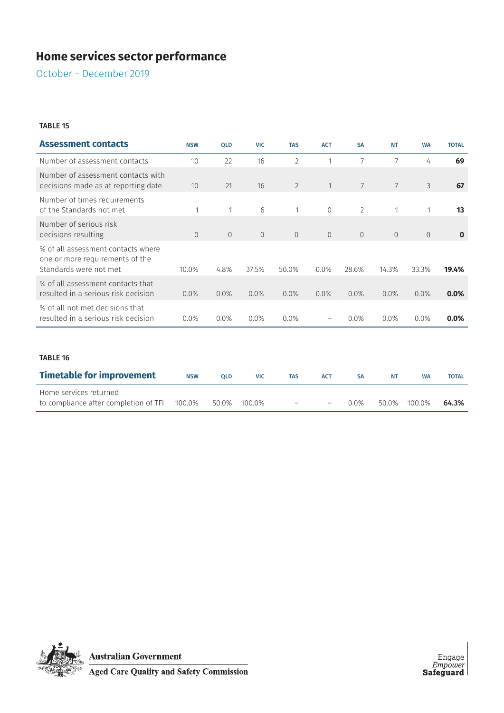October – December 2019

#### TABLE 15

| <b>Assessment contacts</b>                                                                      | <b>NSW</b>     | <b>QLD</b>     | <b>VIC</b>     | <b>TAS</b>     | <b>ACT</b>     | <b>SA</b>      | <b>NT</b>      | <b>WA</b>      | <b>TOTAL</b> |
|-------------------------------------------------------------------------------------------------|----------------|----------------|----------------|----------------|----------------|----------------|----------------|----------------|--------------|
| Number of assessment contacts                                                                   | 10             | 22             | 16             | $\overline{2}$ | 1              | 7              | 7              | 4              | 69           |
| Number of assessment contacts with<br>decisions made as at reporting date                       | 10             | 21             | 16             | $\overline{2}$ | $\mathbf{1}$   | $\overline{7}$ | $\overline{7}$ | 3              | 67           |
| Number of times requirements<br>of the Standards not met                                        | 1              | 1              | 6              | 1              | $\overline{0}$ | $\overline{2}$ | $\mathbf{1}$   | 1              | 13           |
| Number of serious risk<br>decisions resulting                                                   | $\overline{0}$ | $\overline{0}$ | $\overline{0}$ | $\overline{0}$ | $\overline{0}$ | $\overline{0}$ | $\overline{0}$ | $\overline{0}$ | $\bf{0}$     |
| % of all assessment contacts where<br>one or more requirements of the<br>Standards were not met | 10.0%          | 4.8%           | 37.5%          | 50.0%          | 0.0%           | 28.6%          | 14.3%          | 33.3%          | 19.4%        |
| % of all assessment contacts that<br>resulted in a serious risk decision                        | 0.0%           | 0.0%           | 0.0%           | 0.0%           | $0.0\%$        | 0.0%           | 0.0%           | 0.0%           | 0.0%         |
| % of all not met decisions that<br>resulted in a serious risk decision                          | 0.0%           | $0.0\%$        | $0.0\%$        | 0.0%           |                | 0.0%           | 0.0%           | $0.0\%$        | $0.0\%$      |
| <b>TABLE 16</b>                                                                                 |                |                |                |                |                |                |                |                |              |
| <b>Timetable for improvement</b>                                                                | <b>NSW</b>     | <b>OLD</b>     | <b>VIC</b>     | <b>TAS</b>     | <b>ACT</b>     | <b>SA</b>      | <b>NT</b>      | <b>WA</b>      | <b>TOTAL</b> |

| <u>mineculate for improvement</u>                                                   | <br>$-$ | $\cdots$ | $\cdots$                          | $\cdots$ | $\sim$  | . | .            | .     |
|-------------------------------------------------------------------------------------|---------|----------|-----------------------------------|----------|---------|---|--------------|-------|
| Home services returned<br>to compliance after completion of TFI 100.0% 50.0% 100.0% |         |          | the company's company's company's |          | $0.0\%$ |   | 50.0% 100.0% | 64.3% |
|                                                                                     |         |          |                                   |          |         |   |              |       |

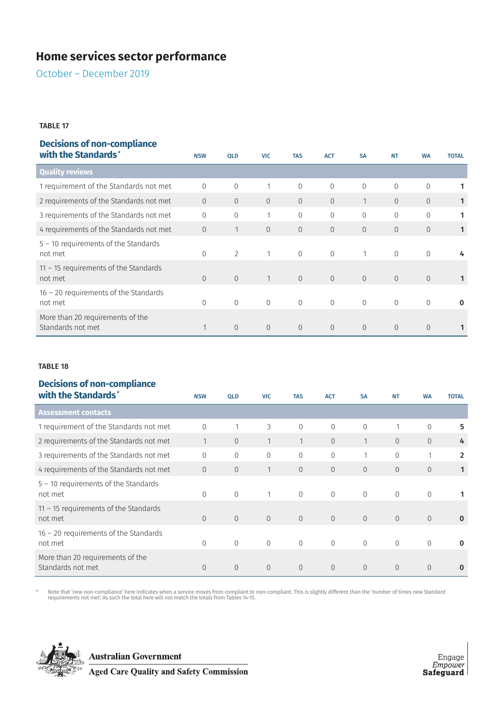October – December 2019

#### TABLE 17

## **Decisions of non-compliance**

| with the Standards*                                   | <b>NSW</b>     | <b>QLD</b>     | <b>VIC</b>     | <b>TAS</b>     | <b>ACT</b>     | <b>SA</b>      | <b>NT</b>      | <b>WA</b>      | <b>TOTAL</b> |
|-------------------------------------------------------|----------------|----------------|----------------|----------------|----------------|----------------|----------------|----------------|--------------|
| <b>Quality reviews</b>                                |                |                |                |                |                |                |                |                |              |
| 1 requirement of the Standards not met                | $\Omega$       | $\mathbf{0}$   |                | $\mathbf{0}$   | $\overline{0}$ | $\mathbf{0}$   | $\mathbf{0}$   | $\overline{0}$ |              |
| 2 requirements of the Standards not met               | $\Omega$       | $\Omega$       | $\overline{0}$ | $\Omega$       | $\overline{0}$ | 1              | $\Omega$       | $\Omega$       | 1            |
| 3 requirements of the Standards not met               | $\overline{0}$ | $\overline{0}$ | 1              | $\overline{0}$ | $\mathbf{0}$   | $\mathbf{0}$   | $\mathbf{0}$   | $\mathbf{0}$   | 1            |
| 4 requirements of the Standards not met               | $\overline{0}$ | 1              | $\overline{0}$ | $\overline{0}$ | $\overline{0}$ | $\overline{0}$ | $\overline{0}$ | $\overline{0}$ | 1            |
| $5 - 10$ requirements of the Standards<br>not met     | $\Omega$       | $\overline{2}$ |                | $\mathbf{0}$   | $\mathbf{0}$   |                | $\mathbf{0}$   | $\overline{0}$ | 4            |
| $11 - 15$ requirements of the Standards<br>not met    | $\Omega$       | $\overline{0}$ | 1              | $\Omega$       | $\Omega$       | $\Omega$       | $\overline{0}$ | $\overline{0}$ |              |
| $16 - 20$ requirements of the Standards<br>not met    | $\Omega$       | $\mathbf{0}$   | $\overline{0}$ | $\Omega$       | $\Omega$       | $\Omega$       | $\overline{0}$ | $\Omega$       | $\bf{0}$     |
| More than 20 requirements of the<br>Standards not met |                | $\overline{0}$ | $\Omega$       | $\Omega$       | $\Omega$       | $\Omega$       | $\Omega$       | $\Omega$       |              |

#### TABLE 18

## **Decisions of non-compliance**

| with the Standards*                                   | <b>NSW</b>     | <b>QLD</b>     | <b>VIC</b>     | <b>TAS</b>     | <b>ACT</b>     | <b>SA</b>      | <b>NT</b>      | <b>WA</b>      | <b>TOTAL</b>   |
|-------------------------------------------------------|----------------|----------------|----------------|----------------|----------------|----------------|----------------|----------------|----------------|
| <b>Assessment contacts</b>                            |                |                |                |                |                |                |                |                |                |
| 1 requirement of the Standards not met                | 0              | 1              | 3              | $\Omega$       | $\Omega$       | $\Omega$       | 1              | $\mathbf{0}$   | 5              |
| 2 requirements of the Standards not met               | 1              | $\Omega$       | $\mathbf{1}$   |                | $\Omega$       | 1              | $\Omega$       | $\Omega$       | 4              |
| 3 requirements of the Standards not met               | $\Omega$       | $\Omega$       | $\mathbf 0$    | $\Omega$       | $\overline{0}$ | 1              | $\mathbf{0}$   | 1              | $\overline{2}$ |
| 4 requirements of the Standards not met               | $\overline{0}$ | 0              | 1              | $\overline{0}$ | $\overline{0}$ | $\overline{0}$ | $\overline{0}$ | $\overline{0}$ | 1              |
| $5 - 10$ requirements of the Standards<br>not met     | $\Omega$       | $\overline{0}$ | 1              | $\Omega$       | $\Omega$       | $\Omega$       | $\overline{0}$ | $\mathbf{0}$   |                |
| $11 - 15$ requirements of the Standards<br>not met    | $\overline{0}$ | $\overline{0}$ | $\overline{0}$ | $\overline{0}$ | $\overline{0}$ | $\overline{0}$ | $\overline{0}$ | $\overline{0}$ | $\bf{0}$       |
| $16 - 20$ requirements of the Standards<br>not met    | $\Omega$       | $\overline{0}$ | $\overline{0}$ | $\Omega$       | $\Omega$       | $\Omega$       | $\Omega$       | $\overline{0}$ | $\bf{0}$       |
| More than 20 requirements of the<br>Standards not met | $\Omega$       | $\overline{0}$ | $\overline{0}$ | $\Omega$       | $\overline{0}$ | $\Omega$       | $\overline{0}$ | $\Omega$       | $\bf{0}$       |

Note that 'new non-compliance' here indicates when a service moves from compliant to non-compliant. This is slightly different than the 'number of times new Standard "<br>requirements not met'. As such the total here will not

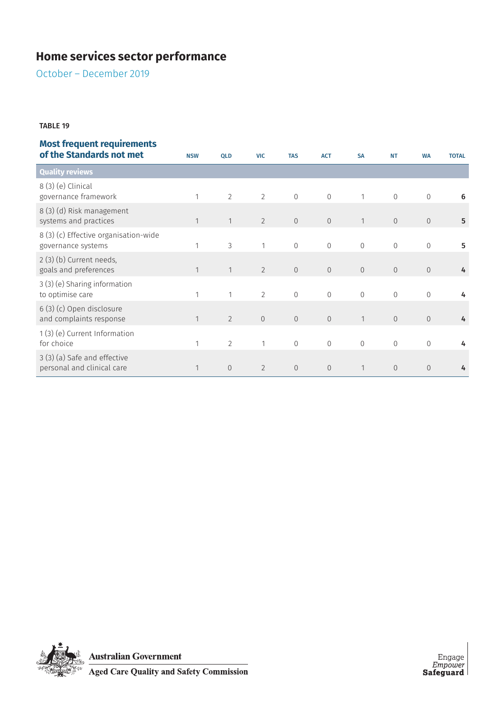October – December 2019

#### TABLE 19

| of the Standards not met                                    | <b>NSW</b>   | <b>QLD</b>     | <b>VIC</b>     | <b>TAS</b>     | <b>ACT</b>     | <b>SA</b>      | <b>NT</b>      | <b>WA</b>      | <b>TOTAL</b> |
|-------------------------------------------------------------|--------------|----------------|----------------|----------------|----------------|----------------|----------------|----------------|--------------|
| <b>Quality reviews</b>                                      |              |                |                |                |                |                |                |                |              |
| 8 (3) (e) Clinical<br>governance framework                  |              | $\overline{2}$ | $\overline{2}$ | $\overline{0}$ | $\mathbf 0$    | 1              | $\mathbf{0}$   | $\mathbf{0}$   | 6            |
| 8 (3) (d) Risk management<br>systems and practices          | 1            | 1              | $\overline{2}$ | $\overline{0}$ | $\overline{0}$ | $\mathbf{1}$   | $\overline{0}$ | $\overline{0}$ | 5            |
| 8 (3) (c) Effective organisation-wide<br>governance systems | 1            | 3              | 1              | $\overline{0}$ | $\mathbf{0}$   | $\overline{0}$ | $\overline{0}$ | $\mathbf{0}$   | 5            |
| $2(3)(b)$ Current needs,<br>goals and preferences           | $\mathbf{1}$ | 1              | $\overline{2}$ | $\overline{0}$ | $\overline{0}$ | $\overline{0}$ | $\overline{0}$ | $\overline{0}$ | 4            |
| 3(3) (e) Sharing information<br>to optimise care            | 1            | 1              | $\overline{2}$ | $\overline{0}$ | $\mathbf{0}$   | $\overline{0}$ | $\overline{0}$ | $\mathbf{0}$   | 4            |
| 6 (3) (c) Open disclosure<br>and complaints response        | 1            | 2              | $\overline{0}$ | $\Omega$       | $\overline{0}$ | $\mathbf{1}$   | $\overline{0}$ | $\overline{0}$ | 4            |
| 1(3) (e) Current Information<br>for choice                  | 1            | $\overline{2}$ | $\mathbf{1}$   | $\overline{0}$ | $\overline{0}$ | $\mathbf 0$    | $\mathbf{0}$   | $\mathbf{0}$   | 4            |
| 3 (3) (a) Safe and effective<br>personal and clinical care  | $\mathbf{1}$ | $\sqrt{0}$     | $\overline{2}$ | $\sqrt{0}$     | $\mathbf 0$    | 1              | $\overline{0}$ | $\overline{0}$ | 4            |

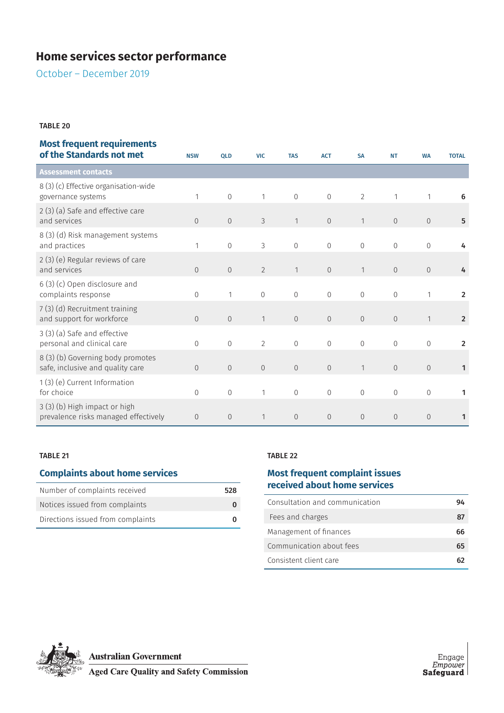October – December 2019

#### TABLE 20

## **Most frequent requirements**

| of the Standards not met                                              | <b>NSW</b>     | QLD            | <b>VIC</b>     | <b>TAS</b>     | <b>ACT</b>     | <b>SA</b>      | <b>NT</b>      | <b>WA</b>      | <b>TOTAL</b>   |
|-----------------------------------------------------------------------|----------------|----------------|----------------|----------------|----------------|----------------|----------------|----------------|----------------|
| <b>Assessment contacts</b>                                            |                |                |                |                |                |                |                |                |                |
| 8(3)(c) Effective organisation-wide<br>governance systems             | 1              | $\Omega$       | 1              | $\Omega$       | $\overline{0}$ | $\overline{2}$ |                |                | 6              |
| 2 (3) (a) Safe and effective care<br>and services                     | $\Omega$       | $\Omega$       | 3              | $\mathbf{1}$   | $\overline{0}$ | $\mathbf{1}$   | $\Omega$       | $\Omega$       | 5              |
| 8 (3) (d) Risk management systems<br>and practices                    | 1              | $\Omega$       | 3              | $\overline{0}$ | $\overline{0}$ | $\overline{0}$ | $\Omega$       | $\overline{0}$ |                |
| 2 (3) (e) Regular reviews of care<br>and services                     | $\Omega$       | $\Omega$       | $\overline{2}$ | 1              | $\mathbf{0}$   | $\mathbf{1}$   | $\Omega$       | $\overline{0}$ | 4              |
| 6 (3) (c) Open disclosure and<br>complaints response                  | $\Omega$       | 1              | $\Omega$       | $\mathbf 0$    | $\mathbf 0$    | $\mathbf 0$    | $\Omega$       |                | $\overline{2}$ |
| 7(3)(d) Recruitment training<br>and support for workforce             | $\Omega$       | $\overline{0}$ | 1              | $\overline{0}$ | $\overline{0}$ | $\overline{0}$ | $\overline{0}$ | $\mathbf{1}$   | $\overline{2}$ |
| 3 (3) (a) Safe and effective<br>personal and clinical care            | $\Omega$       | $\Omega$       | $\overline{2}$ | $\mathbf 0$    | $\overline{0}$ | $\overline{0}$ | $\Omega$       | $\Omega$       | $\overline{2}$ |
| 8 (3) (b) Governing body promotes<br>safe, inclusive and quality care | $\Omega$       | $\overline{0}$ | $\Omega$       | $\overline{0}$ | $\overline{0}$ | $\mathbf{1}$   | $\Omega$       | $\Omega$       | $\mathbf{1}$   |
| 1(3) (e) Current Information<br>for choice                            | $\Omega$       | $\Omega$       | 1              | $\Omega$       | $\Omega$       | $\Omega$       | $\Omega$       | $\Omega$       | 1              |
| 3 (3) (b) High impact or high<br>prevalence risks managed effectively | $\overline{0}$ | $\mathbf{0}$   | 1              | $\overline{0}$ | $\overline{0}$ | $\overline{0}$ | $\Omega$       | $\Omega$       | 1              |

#### TABLE 21

## **Complaints about home services**

| Number of complaints received     | 528 |
|-----------------------------------|-----|
| Notices issued from complaints    |     |
| Directions issued from complaints |     |

#### TABLE 22

## **Most frequent complaint issues received about home services**

| Consultation and communication | 94 |
|--------------------------------|----|
| Fees and charges               | 87 |
| Management of finances         | 66 |
| Communication about fees       | 65 |
| Consistent client care         |    |

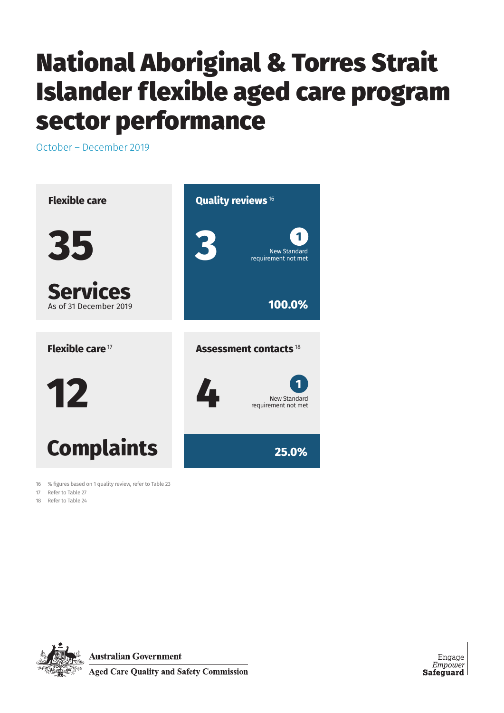# National Aboriginal & Torres Strait Islander flexible aged care program sector performance

October – December 2019



16 % figures based on 1 quality review, refer to Table 23

17 Refer to Table 27

18 Refer to Table 24



**Australian Government** 

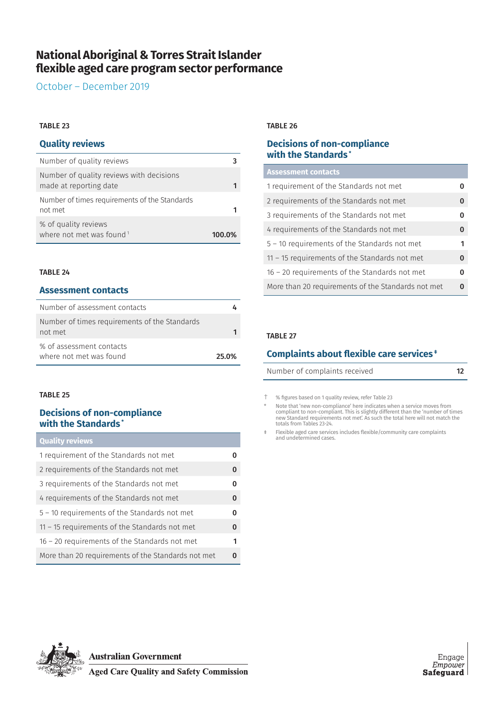## **National Aboriginal & Torres Strait Islander flexible aged care program sector performance**

October – December 2019

#### TABLE 23

### **Quality reviews**

| Number of quality reviews                                          |        |
|--------------------------------------------------------------------|--------|
| Number of quality reviews with decisions<br>made at reporting date |        |
| Number of times requirements of the Standards<br>not met           |        |
| % of quality reviews<br>where not met was found $1$                | 100.0% |

#### TABLE 24

#### **Assessment contacts**

| Number of assessment contacts                            |       |
|----------------------------------------------------------|-------|
| Number of times requirements of the Standards<br>not met |       |
| % of assessment contacts<br>where not met was found      | 25.0% |

#### TABLE 25

## **Decisions of non-compliance with the Standards \***

| <b>Quality reviews</b>                             |          |
|----------------------------------------------------|----------|
| 1 requirement of the Standards not met             | 0        |
| 2 requirements of the Standards not met            | $\Omega$ |
| 3 requirements of the Standards not met            | 0        |
| 4 requirements of the Standards not met            | $\bf{0}$ |
| 5 - 10 requirements of the Standards not met       | $\Omega$ |
| $11 - 15$ requirements of the Standards not met    | $\Omega$ |
| $16 - 20$ requirements of the Standards not met    | 1        |
| More than 20 requirements of the Standards not met | ი        |

#### TABLE 26

## **Decisions of non-compliance with the Standards \***

#### **Assessment contacts**

| 1 requirement of the Standards not met             | 0        |
|----------------------------------------------------|----------|
| 2 requirements of the Standards not met            | $\Omega$ |
| 3 requirements of the Standards not met            | 0        |
| 4 requirements of the Standards not met            | $\Omega$ |
| 5 - 10 requirements of the Standards not met       | 1        |
| $11 - 15$ requirements of the Standards not met    | $\Omega$ |
| 16 - 20 requirements of the Standards not met      | 0        |
| More than 20 requirements of the Standards not met | 0        |
|                                                    |          |

#### TABLE 27

### **Complaints about flexible care services ‡**

Number of complaints received 12

† % figures based on 1 quality review, refer Table 23

\* Note that 'new non-compliance' here indicates when a service moves from<br>compliant to non-compliant. This is slightly different than the 'number of times<br>new Standard requirements not met'. As such the total here w totals from Tables 23-24.

‡ Flexible aged care services includes flexible/community care complaints and undetermined cases.